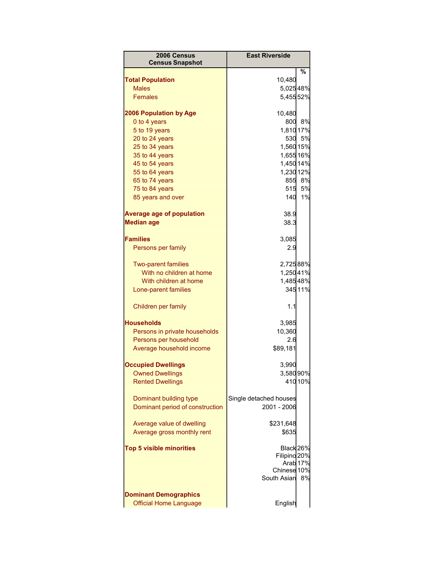| 2006 Census<br><b>Census Snapshot</b> | <b>East Riverside</b>   |
|---------------------------------------|-------------------------|
|                                       | %                       |
| <b>Total Population</b>               | 10,480                  |
| <b>Males</b>                          | 5,02548%                |
| <b>Females</b>                        | 5,45552%                |
| <b>2006 Population by Age</b>         | 10,480                  |
| 0 to 4 years                          | 8%<br>800               |
| 5 to 19 years                         | 1,810 17%               |
| 20 to 24 years                        | 530 5%                  |
| 25 to 34 years                        | 1,560 15%               |
| 35 to 44 years                        | 1,65516%                |
| 45 to 54 years                        | 1,450 14%               |
| 55 to 64 years                        | 1,230 12%               |
| 65 to 74 years                        | 855 8%                  |
| 75 to 84 years                        | 515 5%                  |
| 85 years and over                     | 140<br>1%               |
| <b>Average age of population</b>      | 38.9                    |
| <b>Median age</b>                     | 38.3                    |
|                                       |                         |
| <b>Families</b>                       | 3,085                   |
| Persons per family                    | 2.9                     |
| <b>Two-parent families</b>            | 2,72588%                |
| With no children at home              | 1,25041%                |
| With children at home                 | 1,48548%                |
| Lone-parent families                  | 34511%                  |
| Children per family                   | 1.1                     |
| <b>Households</b>                     | 3,985                   |
| Persons in private households         | 10,360                  |
| Persons per household                 | 2.6                     |
| Average household income              | \$89,181                |
|                                       |                         |
| <b>Occupied Dwellings</b>             | 3,990                   |
| <b>Owned Dwellings</b>                | 3,58090%                |
| <b>Rented Dwellings</b>               | 410 10%                 |
| Dominant building type                | Single detached houses  |
| Dominant period of construction       | 2001 - 2006             |
| Average value of dwelling             | \$231,648               |
| Average gross monthly rent            | \$635                   |
|                                       |                         |
| <b>Top 5 visible minorities</b>       | Black 26%               |
|                                       | Filipino <sub>20%</sub> |
|                                       | Arab <sub>17%</sub>     |
|                                       | Chinese 10%             |
|                                       | South Asian<br>8%       |
| <b>Dominant Demographics</b>          |                         |
| <b>Official Home Language</b>         | English                 |
|                                       |                         |